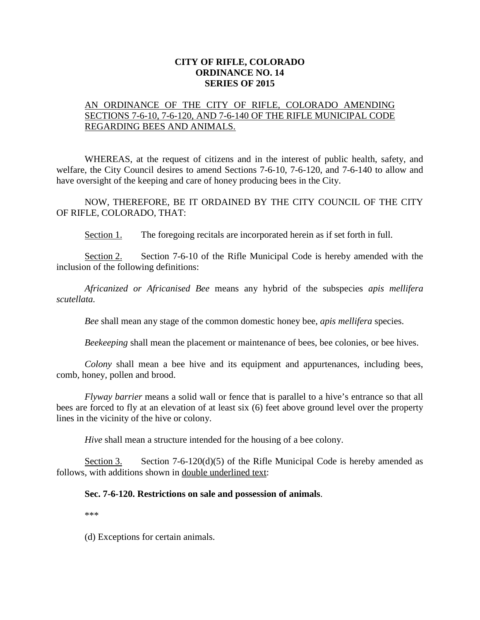## **CITY OF RIFLE, COLORADO ORDINANCE NO. 14 SERIES OF 2015**

## AN ORDINANCE OF THE CITY OF RIFLE, COLORADO AMENDING SECTIONS 7-6-10, 7-6-120, AND 7-6-140 OF THE RIFLE MUNICIPAL CODE REGARDING BEES AND ANIMALS.

WHEREAS, at the request of citizens and in the interest of public health, safety, and welfare, the City Council desires to amend Sections 7-6-10, 7-6-120, and 7-6-140 to allow and have oversight of the keeping and care of honey producing bees in the City.

NOW, THEREFORE, BE IT ORDAINED BY THE CITY COUNCIL OF THE CITY OF RIFLE, COLORADO, THAT:

Section 1. The foregoing recitals are incorporated herein as if set forth in full.

Section 2. Section 7-6-10 of the Rifle Municipal Code is hereby amended with the inclusion of the following definitions:

*Africanized or Africanised Bee* means any hybrid of the subspecies *apis mellifera scutellata.*

*Bee* shall mean any stage of the common domestic honey bee, *apis mellifera* species.

*Beekeeping* shall mean the placement or maintenance of bees, bee colonies, or bee hives.

*Colony* shall mean a bee hive and its equipment and appurtenances, including bees, comb, honey, pollen and brood.

*Flyway barrier* means a solid wall or fence that is parallel to a hive's entrance so that all bees are forced to fly at an elevation of at least six (6) feet above ground level over the property lines in the vicinity of the hive or colony.

*Hive* shall mean a structure intended for the housing of a bee colony.

Section 3. Section 7-6-120(d)(5) of the Rifle Municipal Code is hereby amended as follows, with additions shown in double underlined text:

## **Sec. 7-6-120. Restrictions on sale and possession of animals**.

\*\*\*

(d) Exceptions for certain animals.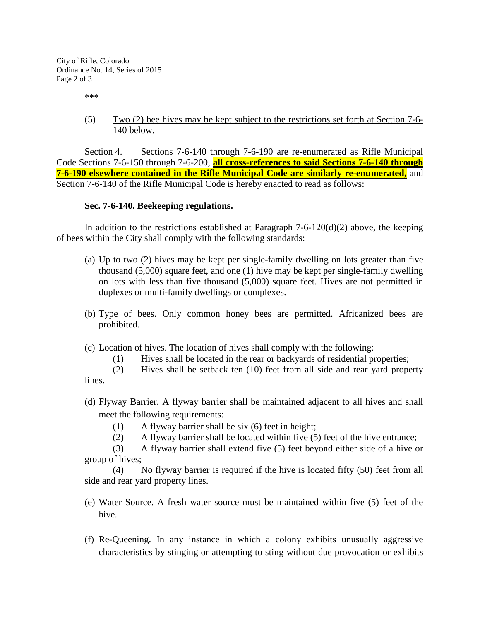City of Rifle, Colorado Ordinance No. 14, Series of 2015 Page 2 of 3

\*\*\*

(5) Two (2) bee hives may be kept subject to the restrictions set forth at Section 7-6- 140 below.

Section 4. Sections 7-6-140 through 7-6-190 are re-enumerated as Rifle Municipal Code Sections 7-6-150 through 7-6-200, **all cross-references to said Sections 7-6-140 through 7-6-190 elsewhere contained in the Rifle Municipal Code are similarly re-enumerated,** and Section 7-6-140 of the Rifle Municipal Code is hereby enacted to read as follows:

## **Sec. 7-6-140. Beekeeping regulations.**

In addition to the restrictions established at Paragraph  $7-6-120(d)(2)$  above, the keeping of bees within the City shall comply with the following standards:

- (a) Up to two (2) hives may be kept per single-family dwelling on lots greater than five thousand (5,000) square feet, and one (1) hive may be kept per single-family dwelling on lots with less than five thousand (5,000) square feet. Hives are not permitted in duplexes or multi-family dwellings or complexes.
- (b) Type of bees. Only common honey bees are permitted. Africanized bees are prohibited.
- (c) Location of hives. The location of hives shall comply with the following:
	- (1) Hives shall be located in the rear or backyards of residential properties;
- (2) Hives shall be setback ten (10) feet from all side and rear yard property lines.
- (d) Flyway Barrier. A flyway barrier shall be maintained adjacent to all hives and shall meet the following requirements:
	- (1) A flyway barrier shall be six (6) feet in height;
	- (2) A flyway barrier shall be located within five (5) feet of the hive entrance;

(3) A flyway barrier shall extend five (5) feet beyond either side of a hive or group of hives;

(4) No flyway barrier is required if the hive is located fifty (50) feet from all side and rear yard property lines.

- (e) Water Source. A fresh water source must be maintained within five (5) feet of the hive.
- (f) Re-Queening. In any instance in which a colony exhibits unusually aggressive characteristics by stinging or attempting to sting without due provocation or exhibits